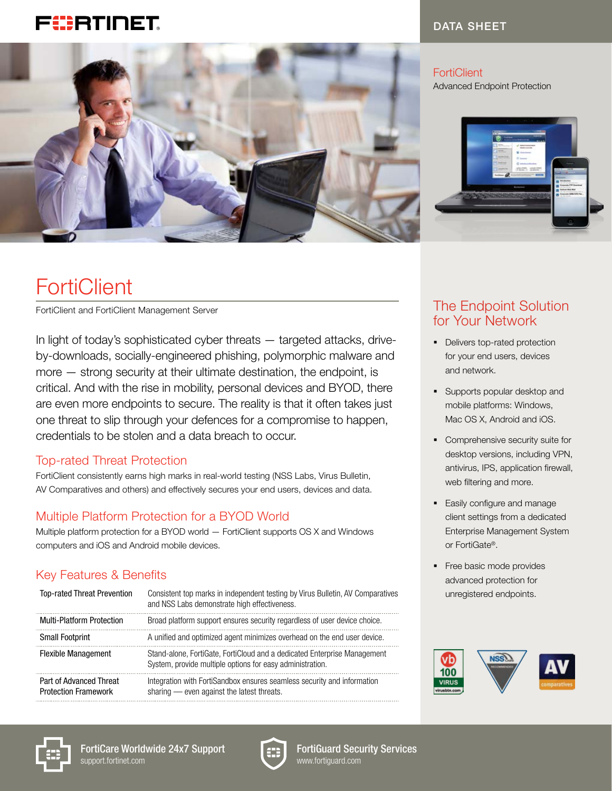## FEBRTINET



#### DATA SHEET

**FortiClient** Advanced Endpoint Protection



# **FortiClient**

FortiClient and FortiClient Management Server

In light of today's sophisticated cyber threats — targeted attacks, driveby-downloads, socially-engineered phishing, polymorphic malware and more — strong security at their ultimate destination, the endpoint, is critical. And with the rise in mobility, personal devices and BYOD, there are even more endpoints to secure. The reality is that it often takes just one threat to slip through your defences for a compromise to happen, credentials to be stolen and a data breach to occur.

#### Top-rated Threat Protection

FortiClient consistently earns high marks in real-world testing (NSS Labs, Virus Bulletin, AV Comparatives and others) and effectively secures your end users, devices and data.

### Multiple Platform Protection for a BYOD World

Multiple platform protection for a BYOD world — FortiClient supports OS X and Windows computers and iOS and Android mobile devices.

### Key Features & Benefits

| <b>Top-rated Threat Prevention</b>                     | Consistent top marks in independent testing by Virus Bulletin, AV Comparatives<br>and NSS Labs demonstrate high effectiveness.        |
|--------------------------------------------------------|---------------------------------------------------------------------------------------------------------------------------------------|
| <b>Multi-Platform Protection</b>                       | Broad platform support ensures security regardless of user device choice.                                                             |
| <b>Small Footprint</b>                                 | A unified and optimized agent minimizes overhead on the end user device.                                                              |
| <b>Flexible Management</b>                             | Stand-alone, FortiGate, FortiCloud and a dedicated Enterprise Management<br>System, provide multiple options for easy administration. |
| Part of Advanced Threat<br><b>Protection Framework</b> | Integration with FortiSandbox ensures seamless security and information<br>sharing - even against the latest threats.                 |

## The Endpoint Solution for Your Network

- Delivers top-rated protection for your end users, devices and network.
- § Supports popular desktop and mobile platforms: Windows, Mac OS X, Android and iOS.
- **•** Comprehensive security suite for desktop versions, including VPN, antivirus, IPS, application firewall, web filtering and more.
- Easily configure and manage client settings from a dedicated Enterprise Management System or FortiGate®.
- Free basic mode provides advanced protection for unregistered endpoints.





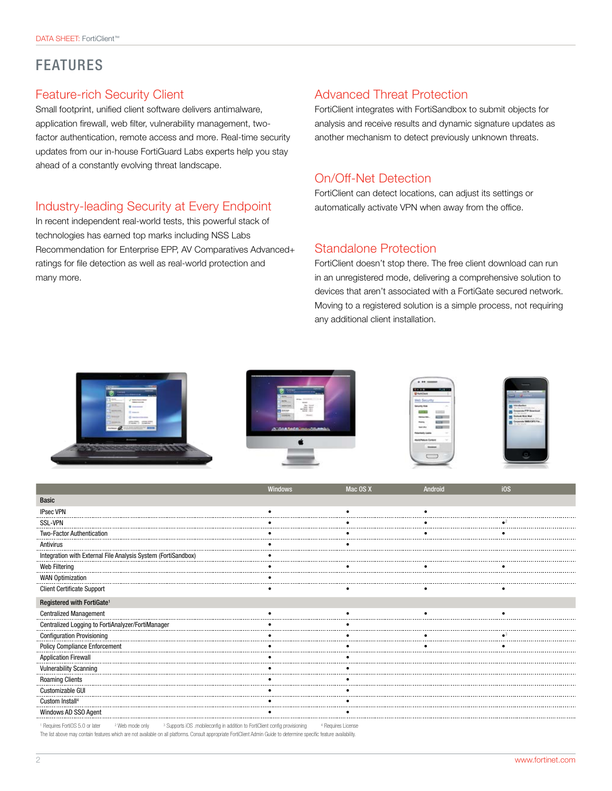## FEATURES

#### Feature-rich Security Client

Small footprint, unified client software delivers antimalware, application firewall, web filter, vulnerability management, twofactor authentication, remote access and more. Real-time security updates from our in-house FortiGuard Labs experts help you stay ahead of a constantly evolving threat landscape.

#### Industry-leading Security at Every Endpoint

In recent independent real-world tests, this powerful stack of technologies has earned top marks including NSS Labs Recommendation for Enterprise EPP, AV Comparatives Advanced+ ratings for file detection as well as real-world protection and many more.

#### Advanced Threat Protection

FortiClient integrates with FortiSandbox to submit objects for analysis and receive results and dynamic signature updates as another mechanism to detect previously unknown threats.

#### On/Off-Net Detection

FortiClient can detect locations, can adjust its settings or automatically activate VPN when away from the office.

#### Standalone Protection

FortiClient doesn't stop there. The free client download can run in an unregistered mode, delivering a comprehensive solution to devices that aren't associated with a FortiGate secured network. Moving to a registered solution is a simple process, not requiring any additional client installation.

| <b>The Contract of</b><br>$-$<br>---<br><b>SHARIFUL PRODUCT</b><br><b>AMAZI</b><br><b>The State Corporation</b><br>$\sqrt{ }$ Salta Process States<br><b>IMMEDIATES</b><br>$1 - 1$<br>$9 - 1$<br>$1$ stresses<br><b>IT comes</b><br>There.<br>C teste chiesto | <b>Sales</b><br><b>START</b><br>---<br>---<br><b>TANK COM</b><br>and the control of the<br><b>HANGLE</b><br>ment.<br><b>Bar Senat</b><br><b>SHOPPING</b><br><b>WENT BERLY</b><br>$+200$<br><b>Bitmen</b><br>. .<br>----<br><b>State</b><br><b>Home</b> | <b>RADE MARKETING</b><br><b>U</b> furtClerk<br>web Security<br>Search Walk<br>œ<br>$-11$<br><b>COLLECTION</b><br><b>Teknischer</b> | $\frac{1}{2}$<br>$-114 - 1074$<br>m.<br><b>Brokericks</b><br><b>Industries</b><br>−<br>on the first relative statement<br>Corporate PTP Described<br><b>Sulfate Avenue</b> |
|---------------------------------------------------------------------------------------------------------------------------------------------------------------------------------------------------------------------------------------------------------------|--------------------------------------------------------------------------------------------------------------------------------------------------------------------------------------------------------------------------------------------------------|------------------------------------------------------------------------------------------------------------------------------------|----------------------------------------------------------------------------------------------------------------------------------------------------------------------------|
| STARTS STARTS<br>The process date of<br>LAN CALLA - BRES<br>former all                                                                                                                                                                                        | A GAASAGA HOLD MAIL                                                                                                                                                                                                                                    | <b>START OF</b><br>men<br><b>AGE 1</b><br><b>Sent office</b><br>Potentially Liable<br><b>CONTRACTOR</b>                            | Corporate SMS/CIFS File.<br>Gride Michel                                                                                                                                   |
| <b>Browner</b><br><b>CONTRACTOR</b><br><b>Contract Contract Contract</b><br><b>NAMES OF GROOMS OF CONSUMIN</b><br>_                                                                                                                                           |                                                                                                                                                                                                                                                        | ABAPANN CIVER<br>$\sim$<br><b>Statement</b><br>___<br><b>Service Address</b>                                                       | la,                                                                                                                                                                        |

|                                                               | <b>Windows</b>                            | Mac OS X | Android | i0S |
|---------------------------------------------------------------|-------------------------------------------|----------|---------|-----|
| <b>Basic</b>                                                  |                                           |          |         |     |
| <b>IPsec VPN</b>                                              |                                           |          |         |     |
| <b>SSL-VPN</b>                                                |                                           |          |         |     |
| <b>Two-Factor Authentication</b>                              |                                           |          |         |     |
| Antivirus                                                     |                                           |          |         |     |
| Integration with External File Analysis System (FortiSandbox) |                                           |          |         |     |
| Web Filtering                                                 |                                           |          |         |     |
| <b>WAN Optimization</b>                                       |                                           |          |         |     |
| <b>Client Certificate Support</b>                             |                                           |          |         |     |
| Registered with FortiGate <sup>1</sup>                        |                                           |          |         |     |
| <b>Centralized Management</b>                                 |                                           |          |         |     |
| Centralized Logging to FortiAnalyzer/FortiManager             |                                           |          |         |     |
| Configuration Provisioning                                    |                                           |          |         |     |
| <b>Policy Compliance Enforcement</b>                          |                                           |          |         |     |
| <b>Application Firewall</b>                                   |                                           |          |         |     |
|                                                               |                                           |          |         |     |
| <b>Roaming Clients</b>                                        |                                           |          |         |     |
| Customizable GUI                                              |                                           |          |         |     |
| Custom Install <sup>4</sup>                                   |                                           |          |         |     |
| Windows AD SSO Agent                                          |                                           |          |         |     |
| EastOC E O as lates                                           | 4 Degrado Lineno<br>configurous islanting |          |         |     |

 Requires FortiOS 5.0 or later 2 <sup>2</sup> Web mode only <sup>3</sup> Supports iOS .mobileconfig in addition to FortiClient config provisioning <sup>4</sup> Requires License The list above may contain features which are not available on all platforms. Consult appropriate FortiClient Admin Guide to determine specific feature availability.

Í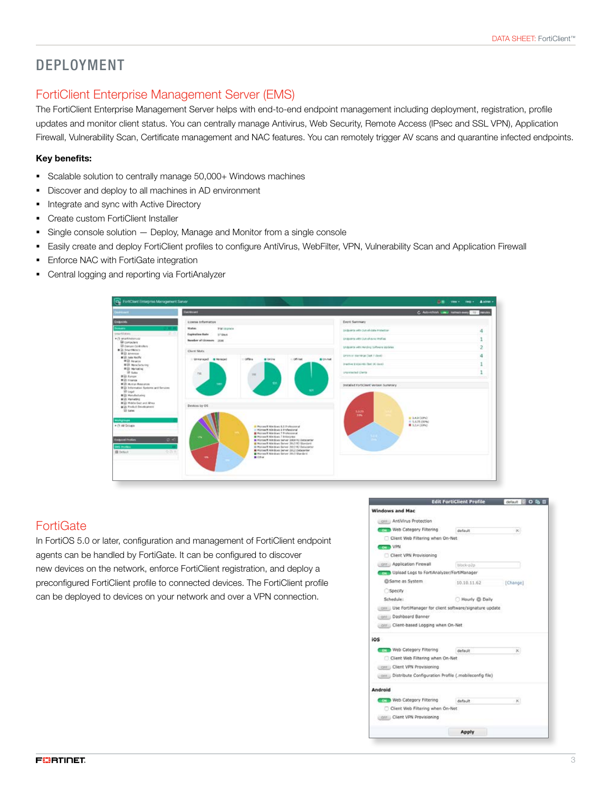## DEPLOYMENT

#### FortiClient Enterprise Management Server (EMS)

The FortiClient Enterprise Management Server helps with end-to-end endpoint management including deployment, registration, profile updates and monitor client status. You can centrally manage Antivirus, Web Security, Remote Access (IPsec and SSL VPN), Application Firewall, Vulnerability Scan, Certificate management and NAC features. You can remotely trigger AV scans and quarantine infected endpoints.

#### Key benefits:

- § Scalable solution to centrally manage 50,000+ Windows machines
- § Discover and deploy to all machines in AD environment
- Integrate and sync with Active Directory
- § Create custom FortiClient Installer
- Single console solution Deploy, Manage and Monitor from a single console
- § Easily create and deploy FortiClient profiles to configure AntiVirus, WebFilter, VPN, Vulnerability Scan and Application Firewall
- **Enforce NAC with FortiGate integration**
- Central logging and reporting via FortiAnalyzer



#### **FortiGate**

In FortiOS 5.0 or later, configuration and management of FortiClient endpoint agents can be handled by FortiGate. It can be configured to discover new devices on the network, enforce FortiClient registration, and deploy a preconfigured FortiClient profile to connected devices. The FortiClient profile can be deployed to devices on your network and over a VPN connection.

|                                           | <b>Edit FortiClient Profile</b>                             | default  |
|-------------------------------------------|-------------------------------------------------------------|----------|
| <b>Windows and Mac</b>                    |                                                             |          |
| credit AntiVirus Protection               |                                                             |          |
| Web Category Filtering                    | default                                                     | $-26$    |
| Client Web Filtering when On-Net          |                                                             |          |
| <b>Company VPN</b>                        |                                                             |          |
| Client VPN Provisioning                   |                                                             |          |
| cre Application Pirewall                  | blbck-s2p.                                                  |          |
| Upload Logs to FortiAnalyzer/FortiManager |                                                             |          |
| GSame as System                           | 10.10.11.62                                                 | [Change] |
| Specify                                   |                                                             |          |
| Schedule:                                 | Hourly @ Daily                                              |          |
|                                           | press Use FortiManager for client software/signature update |          |
| pre Dashboard Banner                      |                                                             |          |
| ciri Client-based Logging when On-Net     |                                                             |          |
| ios                                       |                                                             |          |
| <b>Toy Meb Category Filtering</b>         | default                                                     | ×        |
| Client Web Filtering when On-Net          |                                                             |          |
| Circle Client VPN Provisioning            |                                                             |          |
|                                           | cre Distribute Configuration Profile (.mobileconfig file)   |          |
| Android                                   |                                                             |          |
| Toying Web Category Filtering             | default                                                     | ×.       |
| Client Web Filtering when On-Net          |                                                             |          |
| cer Client VPN Provisioning               |                                                             |          |
|                                           |                                                             |          |